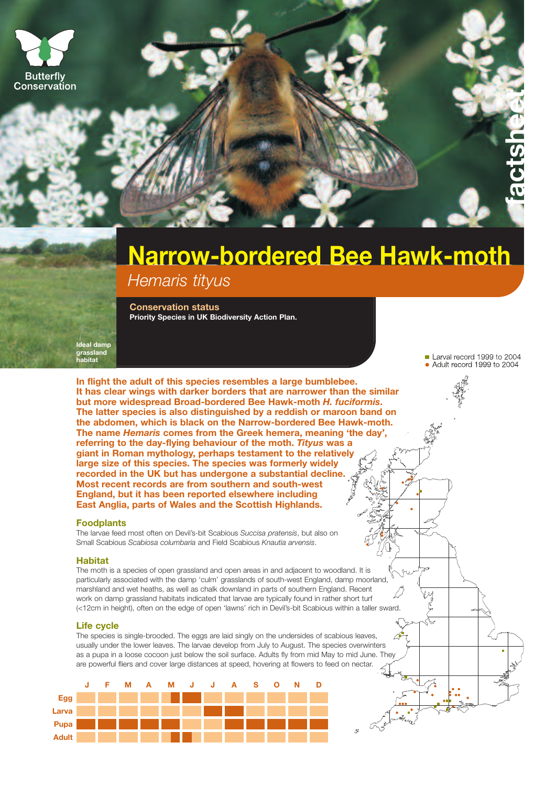



# **Narrow-bordered Bee Hawk-moth** *Hemaris tityus*

**Conservation status Priority Species in UK Biodiversity Action Plan.** 

**Ideal damp grassland habitat**

**In flight the adult of this species resembles a large bumblebee. It has clear wings with darker borders that are narrower than the similar but more widespread Broad-bordered Bee Hawk-moth** *H. fuciformis***. The latter species is also distinguished by a reddish or maroon band on the abdomen, which is black on the Narrow-bordered Bee Hawk-moth. The name** *Hemaris* **comes from the Greek hemera, meaning 'the day', referring to the day-flying behaviour of the moth.** *Tityus* **was a giant in Roman mythology, perhaps testament to the relatively large size of this species. The species was formerly widely recorded in the UK but has undergone a substantial decline. Most recent records are from southern and south-west England, but it has been reported elsewhere including East Anglia, parts of Wales and the Scottish Highlands.**

#### **Foodplants**

The larvae feed most often on Devil's-bit Scabious *Succisa pratensis*, but also on Small Scabious *Scabiosa columbaria* and Field Scabious *Knautia arvensis*.

#### **Habitat**

The moth is a species of open grassland and open areas in and adjacent to woodland. It is particularly associated with the damp 'culm' grasslands of south-west England, damp moorland, marshland and wet heaths, as well as chalk downland in parts of southern England. Recent work on damp grassland habitats indicated that larvae are typically found in rather short turf (<12cm in height), often on the edge of open 'lawns' rich in Devil's-bit Scabious within a taller sward.

#### **Life cycle**

The species is single-brooded. The eggs are laid singly on the undersides of scabious leaves, usually under the lower leaves. The larvae develop from July to August. The species overwinters as a pupa in a loose cocoon just below the soil surface. Adults fly from mid May to mid June. They are powerful fliers and cover large distances at speed, hovering at flowers to feed on nectar.



Larval record 1999 to 2004 • Adult record 1999 to 2004